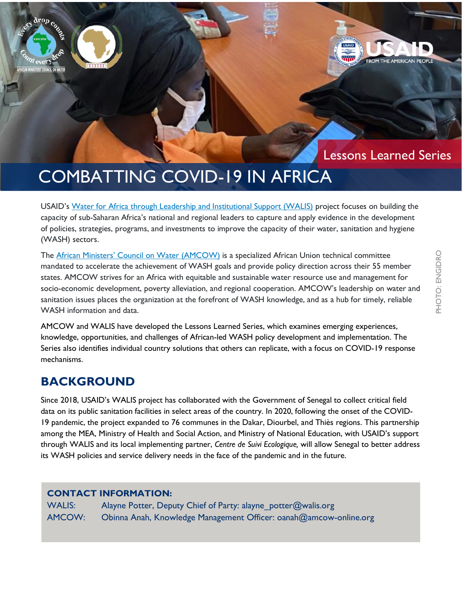## Lessons Learned Series

# COMBATTING COVID-19 IN AFRICA

USAID's [Water for Africa through Leadership and Institutional Support \(WALIS\)](https://www.globalwaters.org/walis) project focuses on building the capacity of sub-Saharan Africa's national and regional leaders to capture and apply evidence in the development of policies, strategies, programs, and investments to improve the capacity of their water, sanitation and hygiene (WASH) sectors.

The [African Ministers' Council on Water \(AMCOW\)](https://www.amcow-online.org/) is a specialized African Union technical committee mandated to accelerate the achievement of WASH goals and provide policy direction across their 55 member states. AMCOW strives for an Africa with equitable and sustainable water resource use and management for socio-economic development, poverty alleviation, and regional cooperation. AMCOW's leadership on water and sanitation issues places the organization at the forefront of WASH knowledge, and as a hub for timely, reliable WASH information and data.

AMCOW and WALIS have developed the Lessons Learned Series, which examines emerging experiences, knowledge, opportunities, and challenges of African-led WASH policy development and implementation. The Series also identifies individual country solutions that others can replicate, with a focus on COVID-19 response mechanisms.

### **BACKGROUND**

drop course

**NCIL ON WATER** RS' CO

Since 2018, USAID's WALIS project has collaborated with the Government of Senegal to collect critical field data on its public sanitation facilities in select areas of the country. In 2020, following the onset of the COVID-19 pandemic, the project expanded to 76 communes in the Dakar, Diourbel, and Thiès regions. This partnership among the MEA, Ministry of Health and Social Action, and Ministry of National Education, with USAID's support through WALIS and its local implementing partner, *Centre de Suivi Ecologique,* will allow Senegal to better address its WASH policies and service delivery needs in the face of the pandemic and in the future.

#### **CONTACT INFORMATION:**

| <b>WALIS:</b> | Alayne Potter, Deputy Chief of Party: alayne_potter@walis.org     |
|---------------|-------------------------------------------------------------------|
| AMCOW:        | Obinna Anah, Knowledge Management Officer: oanah@amcow-online.org |